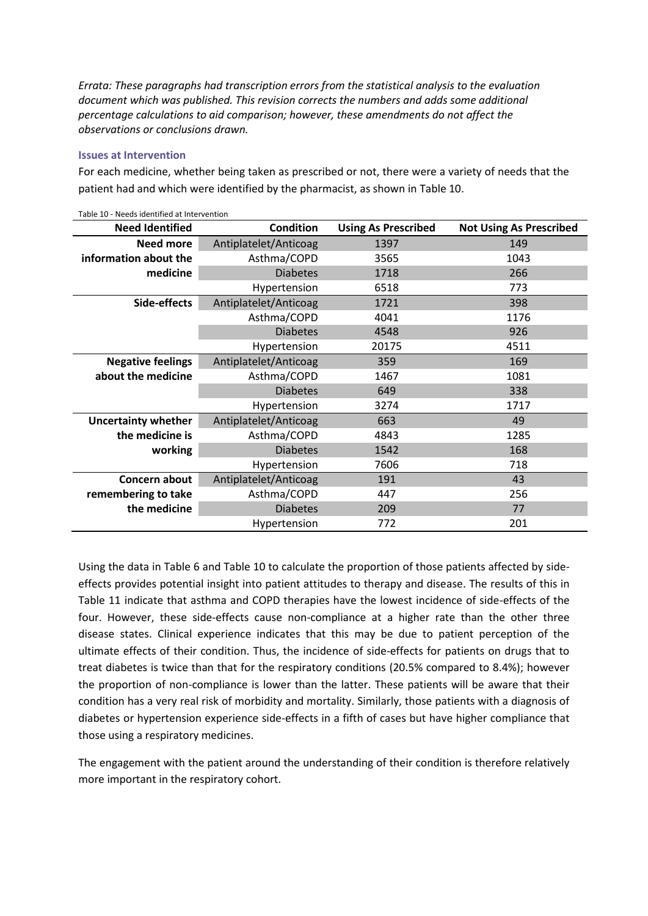*Errata: These paragraphs had transcription errors from the statistical analysis to the evaluation document which was published. This revision corrects the numbers and adds some additional percentage calculations to aid comparison; however, these amendments do not affect the observations or conclusions drawn.*

## **Issues at Intervention**

For each medicine, whether being taken as prescribed or not, there were a variety of needs that the patient had and which were identified by the pharmacist, as shown in Table 10.

| <b>Need Identified</b>     | <b>Condition</b>      | <b>Using As Prescribed</b> | <b>Not Using As Prescribed</b> |
|----------------------------|-----------------------|----------------------------|--------------------------------|
| <b>Need more</b>           | Antiplatelet/Anticoag | 1397                       | 149                            |
| information about the      | Asthma/COPD           | 1043<br>3565               |                                |
| medicine                   | <b>Diabetes</b>       | 1718                       | 266                            |
|                            | Hypertension          | 6518                       | 773                            |
| Side-effects               | Antiplatelet/Anticoag | 1721                       | 398                            |
|                            | Asthma/COPD           | 4041                       | 1176                           |
|                            | <b>Diabetes</b>       | 4548                       | 926                            |
|                            | Hypertension          | 20175                      | 4511                           |
| <b>Negative feelings</b>   | Antiplatelet/Anticoag | 359                        | 169                            |
| about the medicine         | Asthma/COPD           | 1467                       | 1081                           |
|                            | <b>Diabetes</b>       | 649                        | 338                            |
|                            | Hypertension          | 3274                       | 1717                           |
| <b>Uncertainty whether</b> | Antiplatelet/Anticoag | 663                        | 49                             |
| the medicine is            | Asthma/COPD           | 4843                       | 1285                           |
| working                    | <b>Diabetes</b>       | 1542                       | 168                            |
|                            | Hypertension          | 7606                       | 718                            |
| Concern about              | Antiplatelet/Anticoag | 191                        | 43                             |
| remembering to take        | Asthma/COPD           | 447                        | 256                            |
| the medicine               | <b>Diabetes</b>       | 209                        | 77                             |
|                            | Hypertension          | 772                        | 201                            |

Table 10 - Needs identified at Intervention

Using the data in Table 6 and Table 10 to calculate the proportion of those patients affected by sideeffects provides potential insight into patient attitudes to therapy and disease. The results of this in Table 11 indicate that asthma and COPD therapies have the lowest incidence of side-effects of the four. However, these side-effects cause non-compliance at a higher rate than the other three disease states. Clinical experience indicates that this may be due to patient perception of the ultimate effects of their condition. Thus, the incidence of side-effects for patients on drugs that to treat diabetes is twice than that for the respiratory conditions (20.5% compared to 8.4%); however the proportion of non-compliance is lower than the latter. These patients will be aware that their condition has a very real risk of morbidity and mortality. Similarly, those patients with a diagnosis of diabetes or hypertension experience side-effects in a fifth of cases but have higher compliance that those using a respiratory medicines.

The engagement with the patient around the understanding of their condition is therefore relatively more important in the respiratory cohort.